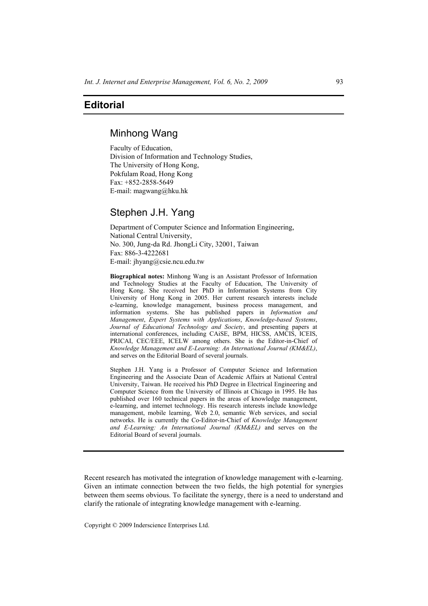## **Editorial**

# Minhong Wang

Faculty of Education, Division of Information and Technology Studies, The University of Hong Kong, Pokfulam Road, Hong Kong Fax: +852-2858-5649 E-mail: magwang@hku.hk

# Stephen J.H. Yang

Department of Computer Science and Information Engineering, National Central University, No. 300, Jung-da Rd. JhongLi City, 32001, Taiwan Fax: 886-3-4222681 E-mail: jhyang@csie.ncu.edu.tw

**Biographical notes:** Minhong Wang is an Assistant Professor of Information and Technology Studies at the Faculty of Education, The University of Hong Kong. She received her PhD in Information Systems from City University of Hong Kong in 2005. Her current research interests include e-learning, knowledge management, business process management, and information systems. She has published papers in *Information and Management*, *Expert Systems with Applications*, *Knowledge-based Systems*, *Journal of Educational Technology and Society*, and presenting papers at international conferences, including CAiSE, BPM, HICSS, AMCIS, ICEIS, PRICAI, CEC/EEE, ICELW among others. She is the Editor-in-Chief of *Knowledge Management and E-Learning: An International Journal (KM&EL)*, and serves on the Editorial Board of several journals.

Stephen J.H. Yang is a Professor of Computer Science and Information Engineering and the Associate Dean of Academic Affairs at National Central University, Taiwan. He received his PhD Degree in Electrical Engineering and Computer Science from the University of Illinois at Chicago in 1995. He has published over 160 technical papers in the areas of knowledge management. e-learning, and internet technology. His research interests include knowledge management, mobile learning, Web 2.0, semantic Web services, and social networks. He is currently the Co-Editor-in-Chief of *Knowledge Management and E-Learning: An International Journal (KM&EL)* and serves on the Editorial Board of several journals.

Recent research has motivated the integration of knowledge management with e-learning. Given an intimate connection between the two fields, the high potential for synergies between them seems obvious. To facilitate the synergy, there is a need to understand and clarify the rationale of integrating knowledge management with e-learning.

Copyright © 2009 Inderscience Enterprises Ltd.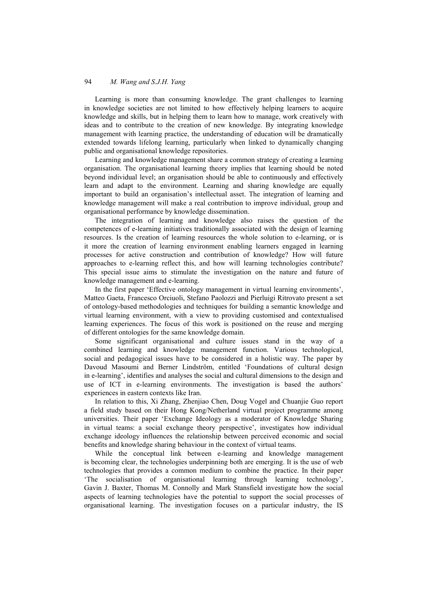### 94 *M. Wang and S.J.H. Yang*

Learning is more than consuming knowledge. The grant challenges to learning in knowledge societies are not limited to how effectively helping learners to acquire knowledge and skills, but in helping them to learn how to manage, work creatively with ideas and to contribute to the creation of new knowledge. By integrating knowledge management with learning practice, the understanding of education will be dramatically extended towards lifelong learning, particularly when linked to dynamically changing public and organisational knowledge repositories.

Learning and knowledge management share a common strategy of creating a learning organisation. The organisational learning theory implies that learning should be noted beyond individual level; an organisation should be able to continuously and effectively learn and adapt to the environment. Learning and sharing knowledge are equally important to build an organisation's intellectual asset. The integration of learning and knowledge management will make a real contribution to improve individual, group and organisational performance by knowledge dissemination.

The integration of learning and knowledge also raises the question of the competences of e-learning initiatives traditionally associated with the design of learning resources. Is the creation of learning resources the whole solution to e-learning, or is it more the creation of learning environment enabling learners engaged in learning processes for active construction and contribution of knowledge? How will future approaches to e-learning reflect this, and how will learning technologies contribute? This special issue aims to stimulate the investigation on the nature and future of knowledge management and e-learning.

In the first paper 'Effective ontology management in virtual learning environments', Matteo Gaeta, Francesco Orciuoli, Stefano Paolozzi and Pierluigi Ritrovato present a set of ontology-based methodologies and techniques for building a semantic knowledge and virtual learning environment, with a view to providing customised and contextualised learning experiences. The focus of this work is positioned on the reuse and merging of different ontologies for the same knowledge domain.

Some significant organisational and culture issues stand in the way of a combined learning and knowledge management function. Various technological, social and pedagogical issues have to be considered in a holistic way. The paper by Davoud Masoumi and Berner Lindström, entitled 'Foundations of cultural design in e-learning', identifies and analyses the social and cultural dimensions to the design and use of ICT in e-learning environments. The investigation is based the authors' experiences in eastern contexts like Iran.

In relation to this, Xi Zhang, Zhenjiao Chen, Doug Vogel and Chuanjie Guo report a field study based on their Hong Kong/Netherland virtual project programme among universities. Their paper 'Exchange Ideology as a moderator of Knowledge Sharing in virtual teams: a social exchange theory perspective', investigates how individual exchange ideology influences the relationship between perceived economic and social benefits and knowledge sharing behaviour in the context of virtual teams.

While the conceptual link between e-learning and knowledge management is becoming clear, the technologies underpinning both are emerging. It is the use of web technologies that provides a common medium to combine the practice. In their paper 'The socialisation of organisational learning through learning technology', Gavin J. Baxter, Thomas M. Connolly and Mark Stansfield investigate how the social aspects of learning technologies have the potential to support the social processes of organisational learning. The investigation focuses on a particular industry, the IS